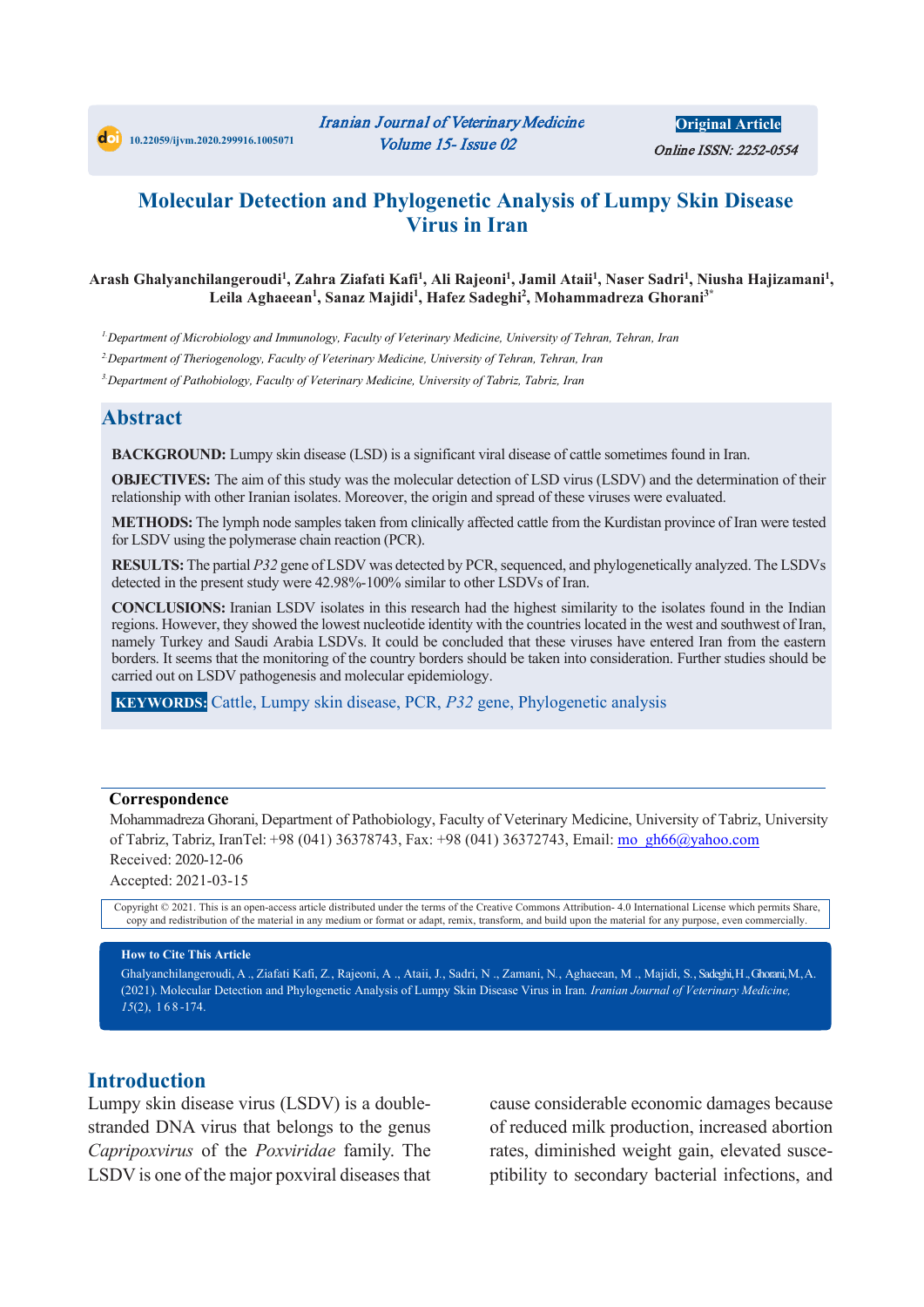**Original Article** Online ISSN: 2252-0554

## **Molecular Detection and Phylogenetic Analysis of Lumpy Skin Disease Virus in Iran**

#### Arash Ghalyanchilangeroudi<sup>1</sup>, Zahra Ziafati Kafi<sup>1</sup>, Ali Rajeoni<sup>1</sup>, Jamil Ataii<sup>1</sup>, Naser Sadri<sup>1</sup>, Niusha Hajizamani<sup>1</sup>, **Leila Aghaeean1 , Sanaz Majidi1 , Hafez Sadeghi2 , Mohammadreza Ghorani3\***

*1. Department of Microbiology and Immunology, Faculty of Veterinary Medicine, University of Tehran, Tehran, Iran*

*2. Department of Theriogenology, Faculty of Veterinary Medicine, University of Tehran, Tehran, Iran*

*3. Department of Pathobiology, Faculty of Veterinary Medicine, University of Tabriz, Tabriz, Iran*

### **Abstract**

**BACKGROUND:** Lumpy skin disease (LSD) is a significant viral disease of cattle sometimes found in Iran.

**OBJECTIVES:** The aim of this study was the molecular detection of LSD virus (LSDV) and the determination of their relationship with other Iranian isolates. Moreover, the origin and spread of these viruses were evaluated.

**METHODS:** The lymph node samples taken from clinically affected cattle from the Kurdistan province of Iran were tested for LSDV using the polymerase chain reaction (PCR).

**RESULTS:**The partial *P32* gene of LSDV was detected by PCR, sequenced, and phylogenetically analyzed. The LSDVs detected in the present study were 42.98%-100% similar to other LSDVs of Iran.

**CONCLUSIONS:** Iranian LSDV isolates in this research had the highest similarity to the isolates found in the Indian regions. However, they showed the lowest nucleotide identity with the countries located in the west and southwest of Iran, namely Turkey and Saudi Arabia LSDVs. It could be concluded that these viruses have entered Iran from the eastern borders. It seems that the monitoring of the country borders should be taken into consideration. Further studies should be carried out on LSDV pathogenesis and molecular epidemiology.

**KEYWORDS:** Cattle, Lumpy skin disease, PCR, *P32* gene, Phylogenetic analysis

#### **Correspondence**

Mohammadreza Ghorani, Department of Pathobiology, Faculty of Veterinary Medicine, University of Tabriz, University of Tabriz, Tabriz, IranTel: +98 (041) 36378743, Fax: +98 (041) 36372743, Email: mo\_gh66@yahoo.com Received: 2020-12-06

Accepted: 2021-03-15

Copyright © 2021. This is an open-access article distributed under the terms of the Creative Commons Attribution- 4.0 International License which permits Share, copy and redistribution of the material in any medium or format or adapt, remix, transform, and build upon the material for any purpose, even commercially.

#### **How to Cite This Article**

Ghalyanchilangeroudi, A ., Ziafati Kafi, Z*.*, Rajeoni, A ., Ataii, J*.*, Sadri, N ., Zamani, N*.*, Aghaeean, M ., Majidi, S*.*, Sadeghi, H., Ghorani, M*.*, A. (2021). Molecular Detection and Phylogenetic Analysis of Lumpy Skin Disease Virus in Iran*. Iranian Journal of Veterinary Medicine, 15*(2), 1 6 8 -174.

### **Introduction**

Lumpy skin disease virus (LSDV) is a doublestranded DNA virus that belongs to the genus *Capripoxvirus* of the *Poxviridae* family. The LSDV is one of the major poxviral diseases that cause considerable economic damages because of reduced milk production, increased abortion rates, diminished weight gain, elevated susceptibility to secondary bacterial infections, and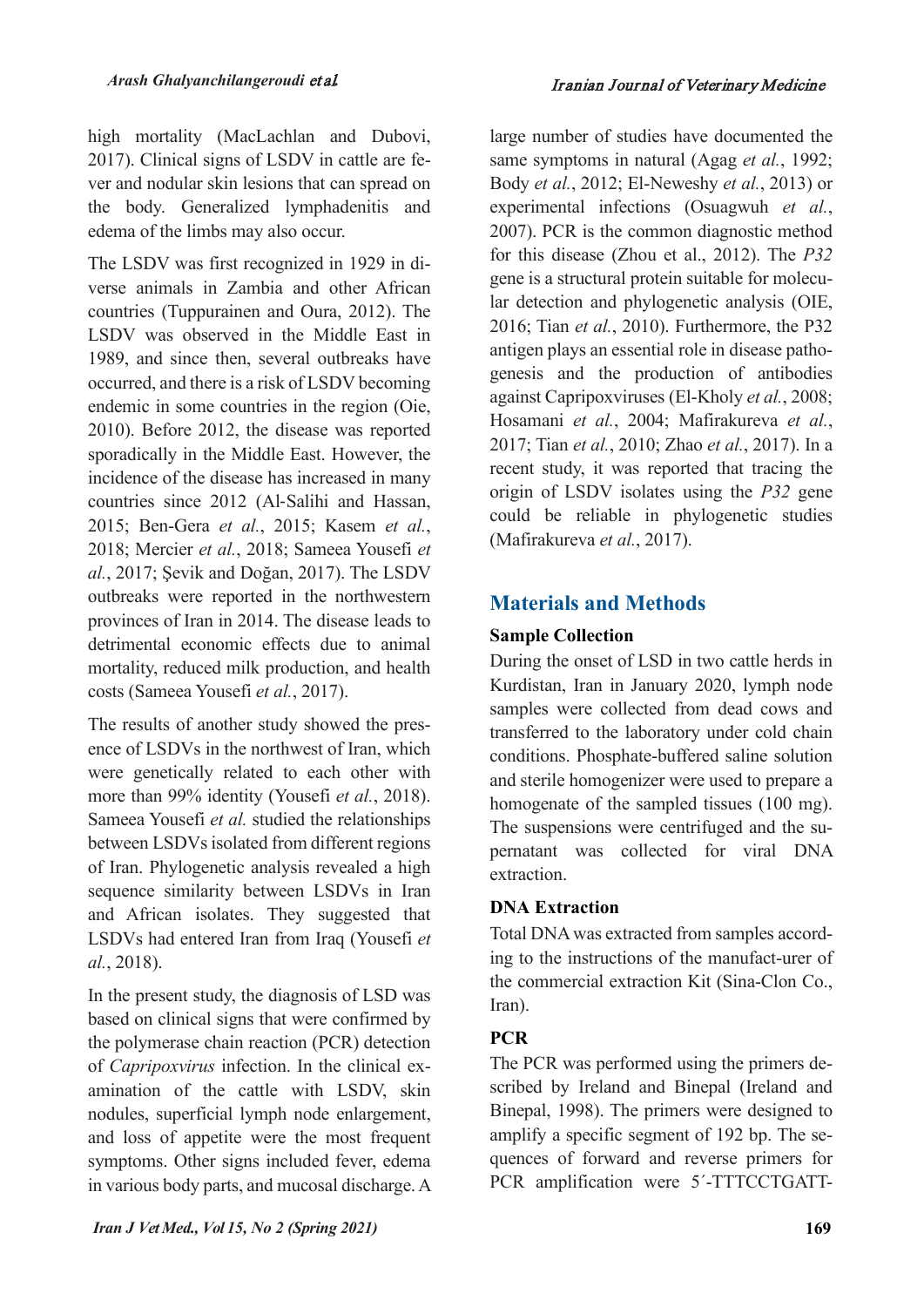high mortality (MacLachlan and Dubovi, 2017). Clinical signs of LSDV in cattle are fever and nodular skin lesions that can spread on the body. Generalized lymphadenitis and edema of the limbs may also occur.

The LSDV was first recognized in 1929 in diverse animals in Zambia and other African countries (Tuppurainen and Oura, 2012). The LSDV was observed in the Middle East in 1989, and since then, several outbreaks have occurred, and there is a risk of LSDV becoming endemic in some countries in the region (Oie, 2010). Before 2012, the disease was reported sporadically in the Middle East. However, the incidence of the disease has increased in many countries since 2012 (Al-Salihi and Hassan, 2015; Ben-Gera *et al.*, 2015; Kasem *et al.*, 2018; Mercier *et al.*, 2018; Sameea Yousefi *et al.*, 2017; Şevik and Doğan, 2017). The LSDV outbreaks were reported in the northwestern provinces of Iran in 2014. The disease leads to detrimental economic effects due to animal mortality, reduced milk production, and health costs (Sameea Yousefi *et al.*, 2017).

The results of another study showed the presence of LSDVs in the northwest of Iran, which were genetically related to each other with more than 99% identity (Yousefi *et al.*, 2018). Sameea Yousefi *et al.* studied the relationships between LSDVs isolated from different regions of Iran. Phylogenetic analysis revealed a high sequence similarity between LSDVs in Iran and African isolates. They suggested that LSDVs had entered Iran from Iraq (Yousefi *et al.*, 2018).

In the present study, the diagnosis of LSD was based on clinical signs that were confirmed by the polymerase chain reaction (PCR) detection of *Capripoxvirus* infection. In the clinical examination of the cattle with LSDV, skin nodules, superficial lymph node enlargement, and loss of appetite were the most frequent symptoms. Other signs included fever, edema in various body parts, and mucosal discharge. A large number of studies have documented the same symptoms in natural (Agag *et al.*, 1992; Body *et al.*, 2012; El-Neweshy *et al.*, 2013) or experimental infections (Osuagwuh *et al.*, 2007). PCR is the common diagnostic method for this disease (Zhou et al., 2012). The *P32* gene is a structural protein suitable for molecular detection and phylogenetic analysis (OIE, 2016; Tian *et al.*, 2010). Furthermore, the P32 antigen plays an essential role in disease pathogenesis and the production of antibodies against Capripoxviruses (El-Kholy *et al.*, 2008; Hosamani *et al.*, 2004; Mafirakureva *et al.*, 2017; Tian *et al.*, 2010; Zhao *et al.*, 2017). In a recent study, it was reported that tracing the origin of LSDV isolates using the *P32* gene could be reliable in phylogenetic studies (Mafirakureva *et al.*, 2017).

## **Materials and Methods**

## **Sample Collection**

During the onset of LSD in two cattle herds in Kurdistan, Iran in January 2020, lymph node samples were collected from dead cows and transferred to the laboratory under cold chain conditions. Phosphate-buffered saline solution and sterile homogenizer were used to prepare a homogenate of the sampled tissues (100 mg). The suspensions were centrifuged and the supernatant was collected for viral DNA extraction.

## **DNA Extraction**

Total DNA was extracted from samples according to the instructions of the manufact-urer of the commercial extraction Kit (Sina-Clon Co., Iran).

## **PCR**

The PCR was performed using the primers described by Ireland and Binepal (Ireland and Binepal, 1998). The primers were designed to amplify a specific segment of 192 bp. The sequences of forward and reverse primers for PCR amplification were 5'-TTTCCTGATT-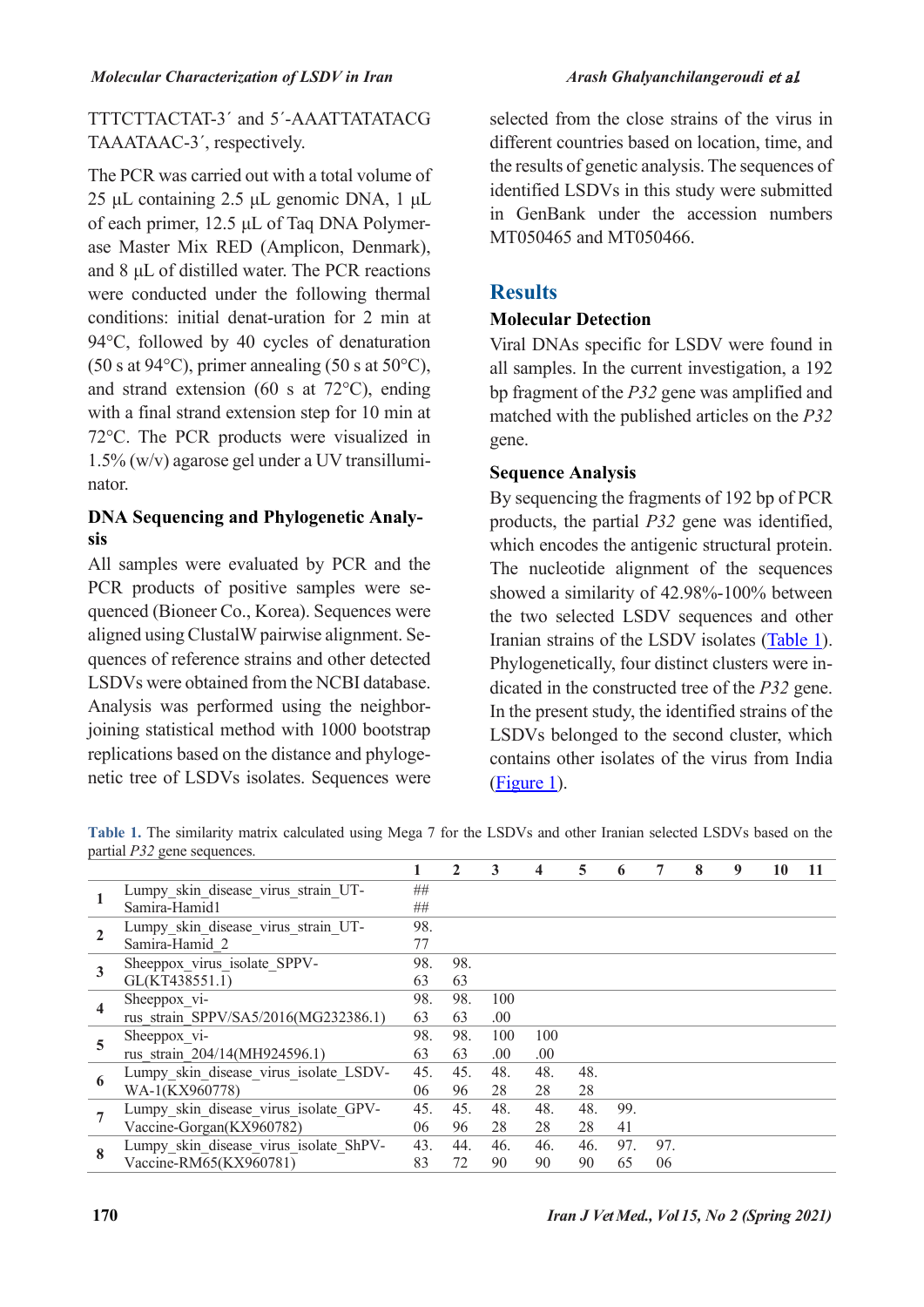#### *Molecular Characterization of LSDV in Iran Arash Ghalyanchilangeroudi* et al*.*

TTTCTTACTAT-3´ and 5´-AAATTATATACG TAAATAAC-3´, respectively.

The PCR was carried out with a total volume of 25 μL containing 2.5 μL genomic DNA, 1 μL of each primer, 12.5 μL of Taq DNA Polymerase Master Mix RED (Amplicon, Denmark), and 8 μL of distilled water. The PCR reactions were conducted under the following thermal conditions: initial denat-uration for 2 min at 94°C, followed by 40 cycles of denaturation (50 s at 94 $\textdegree$ C), primer annealing (50 s at 50 $\textdegree$ C), and strand extension (60 s at 72°C), ending with a final strand extension step for 10 min at 72°C. The PCR products were visualized in 1.5% (w/v) agarose gel under a UV transilluminator.

### **DNA Sequencing and Phylogenetic Analysis**

All samples were evaluated by PCR and the PCR products of positive samples were sequenced (Bioneer Co., Korea). Sequences were aligned using ClustalW pairwise alignment. Sequences of reference strains and other detected LSDVs were obtained from the NCBI database. Analysis was performed using the neighborjoining statistical method with 1000 bootstrap replications based on the distance and phylogenetic tree of LSDVs isolates. Sequences were

selected from the close strains of the virus in different countries based on location, time, and the results of genetic analysis. The sequences of identified LSDVs in this study were submitted in GenBank under the accession numbers MT050465 and MT050466.

## **Results**

#### **Molecular Detection**

Viral DNAs specific for LSDV were found in all samples. In the current investigation, a 192 bp fragment of the *P32* gene was amplified and matched with the published articles on the *P32* gene.

#### **Sequence Analysis**

By sequencing the fragments of 192 bp of PCR products, the partial *P32* gene was identified, which encodes the antigenic structural protein. The nucleotide alignment of the sequences showed a similarity of 42.98%-100% between the two selected LSDV sequences and other Iranian strains of the LSDV isolates [\(Table 1\)](#page-2-0). Phylogenetically, four distinct clusters were indicated in the constructed tree of the *P32* gene. In the present study, the identified strains of the LSDVs belonged to the second cluster, which contains other isolates of the virus from India (Figure 1).

<span id="page-2-0"></span>**Table 1.** The similarity matrix calculated using Mega 7 for the LSDVs and other Iranian selected LSDVs based on the partial *P32* gene sequences.

|   |                                        |     |     | 3    |     | 5   | 6   |     | 8 | 9 | 10 | 11 |
|---|----------------------------------------|-----|-----|------|-----|-----|-----|-----|---|---|----|----|
|   | Lumpy skin disease virus strain UT-    | ##  |     |      |     |     |     |     |   |   |    |    |
|   | Samira-Hamid1                          | ##  |     |      |     |     |     |     |   |   |    |    |
|   | Lumpy skin disease virus strain UT-    | 98. |     |      |     |     |     |     |   |   |    |    |
|   | Samira-Hamid 2                         | 77  |     |      |     |     |     |     |   |   |    |    |
|   | Sheeppox virus isolate SPPV-           | 98. | 98. |      |     |     |     |     |   |   |    |    |
|   | GL(KT438551.1)                         | 63  | 63  |      |     |     |     |     |   |   |    |    |
|   | Sheeppox vi-                           | 98. | 98. | 100  |     |     |     |     |   |   |    |    |
|   | rus strain SPPV/SA5/2016(MG232386.1)   | 63  | 63  | .00  |     |     |     |     |   |   |    |    |
| 5 | Sheeppox vi-                           | 98. | 98. | 100  | 100 |     |     |     |   |   |    |    |
|   | rus strain 204/14(MH924596.1)          | 63  | 63  | .00. | .00 |     |     |     |   |   |    |    |
| 6 | Lumpy skin disease virus isolate LSDV- | 45. | 45. | 48.  | 48. | 48. |     |     |   |   |    |    |
|   | WA-1(KX960778)                         | 06  | 96  | 28   | 28  | 28  |     |     |   |   |    |    |
|   | Lumpy_skin_disease_virus isolate GPV-  | 45. | 45. | 48.  | 48. | 48. | 99. |     |   |   |    |    |
|   | Vaccine-Gorgan(KX960782)               | 06  | 96  | 28   | 28  | 28  | 41  |     |   |   |    |    |
| 8 | Lumpy skin disease virus isolate ShPV- | 43. | 44. | 46.  | 46. | 46. | 97. | 97. |   |   |    |    |
|   | Vaccine-RM65(KX960781)                 | 83  | 72  | 90   | 90  | 90  | 65  | 06  |   |   |    |    |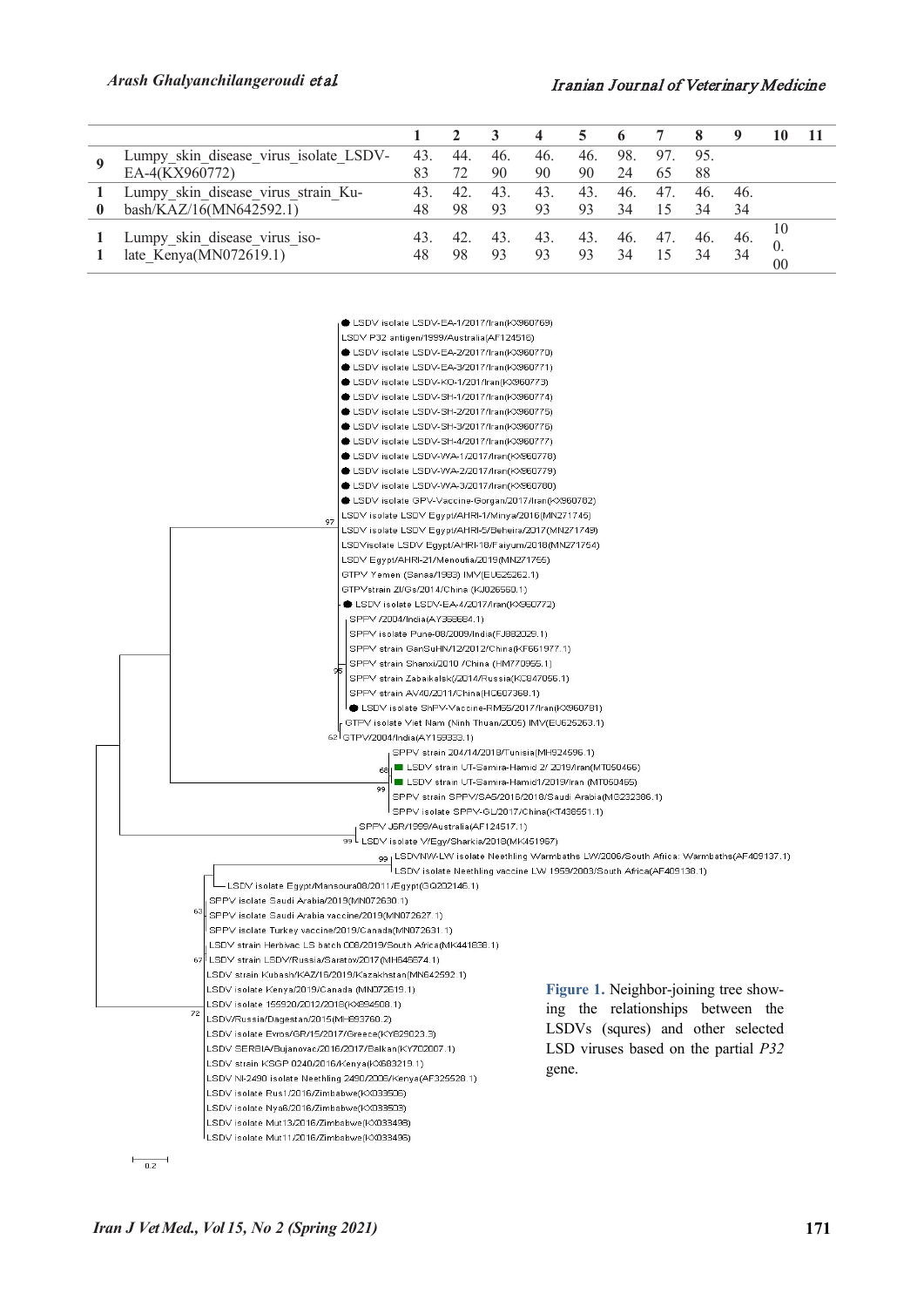#### *Arash Ghalyanchilangeroudi* et al*.* Iranian Journal of Veterinary Medicine

|  | Lumpy skin disease virus isolate LSDV-                  | 43. | 44. | 46.       | 46.       | 46.       | 98.       | 97.       | 95. |      |          |  |
|--|---------------------------------------------------------|-----|-----|-----------|-----------|-----------|-----------|-----------|-----|------|----------|--|
|  | EA-4(KX960772)                                          | 83  |     | 90        | 90        | 90        | 24        | 65        | 88  |      |          |  |
|  | Lumpy_skin_disease_virus strain Ku-                     | 43. | 42. | 43.       | 43.       | 43.       | 46.       | 47.       | 46. | 46.  |          |  |
|  | bash/KAZ/16(MN642592.1)                                 | 48  | 98  | 93        | 93        | 93        | 34        |           | 34  | 34   |          |  |
|  | Lumpy skin disease virus iso-<br>late_Kenya(MN072619.1) | 48  | 98  | 43.<br>93 | 43.<br>93 | 43.<br>93 | 46.<br>34 | 47.<br>15 | 34  | -46. | 10<br>00 |  |



 $\frac{}{0.2}$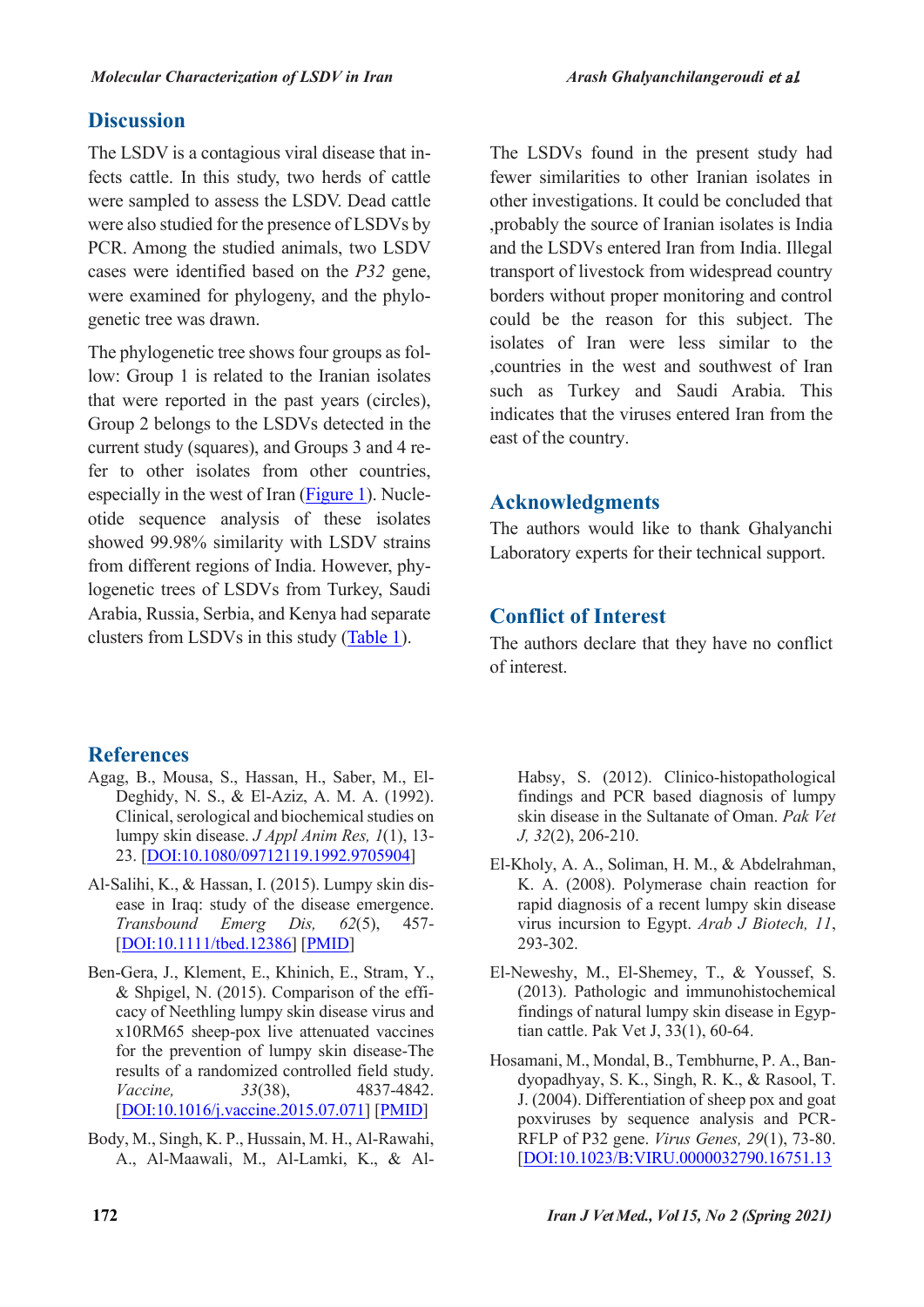## **Discussion**

The LSDV is a contagious viral disease that infects cattle. In this study, two herds of cattle were sampled to assess the LSDV. Dead cattle were also studied for the presence of LSDVs by PCR. Among the studied animals, two LSDV cases were identified based on the *P32* gene, were examined for phylogeny, and the phylogenetic tree was drawn.

The phylogenetic tree shows four groups as follow: Group 1 is related to the Iranian isolates that were reported in the past years (circles), Group 2 belongs to the LSDVs detected in the current study (squares), and Groups 3 and 4 refer to other isolates from other countries, especially in the west of Iran (Figure 1). Nucleotide sequence analysis of these isolates showed 99.98% similarity with LSDV strains from different regions of India. However, phylogenetic trees of LSDVs from Turkey, Saudi Arabia, Russia, Serbia, and Kenya had separate clusters from LSDVs in this study [\(Table 1\)](#page-2-0).

## The LSDVs found in the present study had fewer similarities to other Iranian isolates in other investigations. It could be concluded that ,probably the source of Iranian isolates is India and the LSDVs entered Iran from India. Illegal transport of livestock from widespread country borders without proper monitoring and control could be the reason for this subject. The isolates of Iran were less similar to the ,countries in the west and southwest of Iran such as Turkey and Saudi Arabia. This indicates that the viruses entered Iran from the east of the country.

## **Acknowledgments**

The authors would like to thank Ghalyanchi Laboratory experts for their technical support.

## **Conflict of Interest**

The authors declare that they have no conflict of interest.

## **References**

- Agag, B., Mousa, S., Hassan, H., Saber, M., El-Deghidy, N. S., & El-Aziz, A. M. A. (1992). Clinical, serological and biochemical studies on lumpy skin disease. *J Appl Anim Res, 1*(1), 13- 23. [DOI:10.1080/09712119.1992.9705904]
- Al-Salihi, K., & Hassan, I. (2015). Lumpy skin disease in Iraq: study of the disease emergence. *Transbound Emerg Dis, 62*(5), 457- [DOI:10.1111/tbed.12386] [PMID]
- Ben-Gera, J., Klement, E., Khinich, E., Stram, Y., & Shpigel, N. (2015). Comparison of the efficacy of Neethling lumpy skin disease virus and x10RM65 sheep-pox live attenuated vaccines for the prevention of lumpy skin disease-The results of a randomized controlled field study. *Vaccine, 33*(38), 4837-4842. [DOI:10.1016/j.vaccine.2015.07.071] [PMID]
- Body, M., Singh, K. P., Hussain, M. H., Al-Rawahi, A., Al-Maawali, M., Al-Lamki, K., & Al-

Habsy, S. (2012). Clinico-histopathological findings and PCR based diagnosis of lumpy skin disease in the Sultanate of Oman. *Pak Vet J, 32*(2), 206-210.

- El-Kholy, A. A., Soliman, H. M., & Abdelrahman, K. A. (2008). Polymerase chain reaction for rapid diagnosis of a recent lumpy skin disease virus incursion to Egypt. *Arab J Biotech, 11*, 293-302.
- El-Neweshy, M., El-Shemey, T., & Youssef, S. (2013). Pathologic and immunohistochemical findings of natural lumpy skin disease in Egyptian cattle. Pak Vet J, 33(1), 60-64.
- Hosamani, M., Mondal, B., Tembhurne, P. A., Bandyopadhyay, S. K., Singh, R. K., & Rasool, T. J. (2004). Differentiation of sheep pox and goat poxviruses by sequence analysis and PCR-RFLP of P32 gene. *Virus Genes, 29*(1), 73-80. [DOI:10.1023/B:VIRU.0000032790.16751.13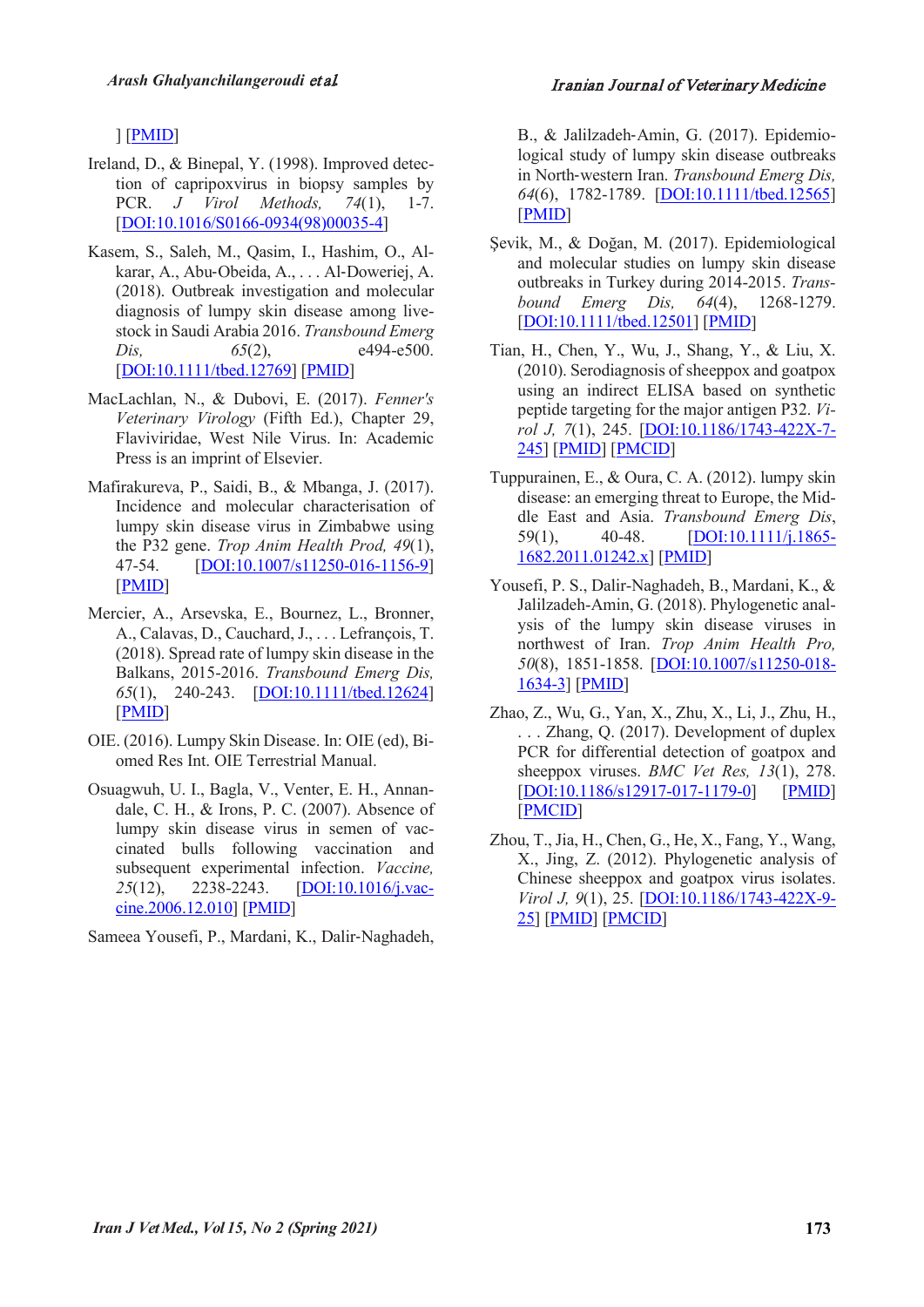#### ] [PMID]

- Ireland, D., & Binepal, Y. (1998). Improved detection of capripoxvirus in biopsy samples by PCR. *J Virol Methods, 74*(1), 1-7. [DOI:10.1016/S0166-0934(98)00035-4]
- Kasem, S., Saleh, M., Qasim, I., Hashim, O., Alkarar, A., Abu-Obeida, A., . . . Al-Doweriej, A. (2018). Outbreak investigation and molecular diagnosis of lumpy skin disease among livestock in Saudi Arabia 2016. *Transbound Emerg Dis,* 65(2), e494-e500. [DOI:10.1111/tbed.12769] [PMID]
- MacLachlan, N., & Dubovi, E. (2017). *Fenner's Veterinary Virology* (Fifth Ed.), Chapter 29, Flaviviridae, West Nile Virus. In: Academic Press is an imprint of Elsevier.
- Mafirakureva, P., Saidi, B., & Mbanga, J. (2017). Incidence and molecular characterisation of lumpy skin disease virus in Zimbabwe using the P32 gene. *Trop Anim Health Prod, 49*(1), 47-54. [DOI:10.1007/s11250-016-1156-9] [PMID]
- Mercier, A., Arsevska, E., Bournez, L., Bronner, A., Calavas, D., Cauchard, J., . . . Lefrançois, T. (2018). Spread rate of lumpy skin disease in the Balkans, 2015-2016. *Transbound Emerg Dis, 65*(1), 240-243. [DOI:10.1111/tbed.12624] [PMID]
- OIE. (2016). Lumpy Skin Disease. In: OIE (ed), Biomed Res Int. OIE Terrestrial Manual.
- Osuagwuh, U. I., Bagla, V., Venter, E. H., Annandale, C. H., & Irons, P. C. (2007). Absence of lumpy skin disease virus in semen of vaccinated bulls following vaccination and subsequent experimental infection. *Vaccine, 25*(12), 2238-2243. [DOI:10.1016/j.vaccine.2006.12.010] [PMID]

Sameea Yousefi, P., Mardani, K., Dalir-Naghadeh,

B., & Jalilzadeh-Amin, G. (2017). Epidemiological study of lumpy skin disease outbreaks in North-western Iran. *Transbound Emerg Dis, 64*(6), 1782-1789. [DOI:10.1111/tbed.12565] [PMID]

- Şevik, M., & Doğan, M. (2017). Epidemiological and molecular studies on lumpy skin disease outbreaks in Turkey during 2014-2015. *Transbound Emerg Dis, 64*(4), 1268-1279. [DOI:10.1111/tbed.12501] [PMID]
- Tian, H., Chen, Y., Wu, J., Shang, Y., & Liu, X. (2010). Serodiagnosis of sheeppox and goatpox using an indirect ELISA based on synthetic peptide targeting for the major antigen P32. *Virol J, 7*(1), 245. [DOI:10.1186/1743-422X-7- 245] [PMID] [PMCID]
- Tuppurainen, E., & Oura, C. A. (2012). lumpy skin disease: an emerging threat to Europe, the Middle East and Asia. *Transbound Emerg Dis*, 59(1), 40-48. [DOI:10.1111/j.1865- 1682.2011.01242.x] [PMID]
- Yousefi, P. S., Dalir-Naghadeh, B., Mardani, K., & Jalilzadeh-Amin, G. (2018). Phylogenetic analysis of the lumpy skin disease viruses in northwest of Iran. *Trop Anim Health Pro, 50*(8), 1851-1858. [DOI:10.1007/s11250-018- 1634-3] [PMID]
- Zhao, Z., Wu, G., Yan, X., Zhu, X., Li, J., Zhu, H., . . . Zhang, Q. (2017). Development of duplex PCR for differential detection of goatpox and sheeppox viruses. *BMC Vet Res, 13*(1), 278. [DOI:10.1186/s12917-017-1179-0] [PMID] [PMCID]
- Zhou, T., Jia, H., Chen, G., He, X., Fang, Y., Wang, X., Jing, Z. (2012). Phylogenetic analysis of Chinese sheeppox and goatpox virus isolates. *Virol J, 9*(1), 25. [DOI:10.1186/1743-422X-9- 25] [PMID] [PMCID]